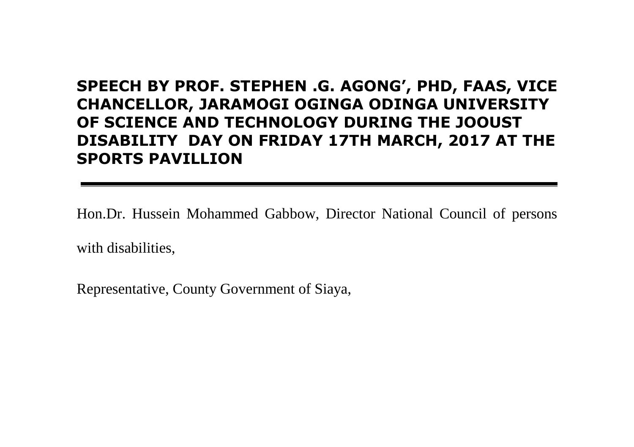# **SPEECH BY PROF. STEPHEN .G. AGONG', PHD, FAAS, VICE CHANCELLOR, JARAMOGI OGINGA ODINGA UNIVERSITY OF SCIENCE AND TECHNOLOGY DURING THE JOOUST DISABILITY DAY ON FRIDAY 17TH MARCH, 2017 AT THE SPORTS PAVILLION**

Hon.Dr. Hussein Mohammed Gabbow, Director National Council of persons with disabilities,

Representative, County Government of Siaya,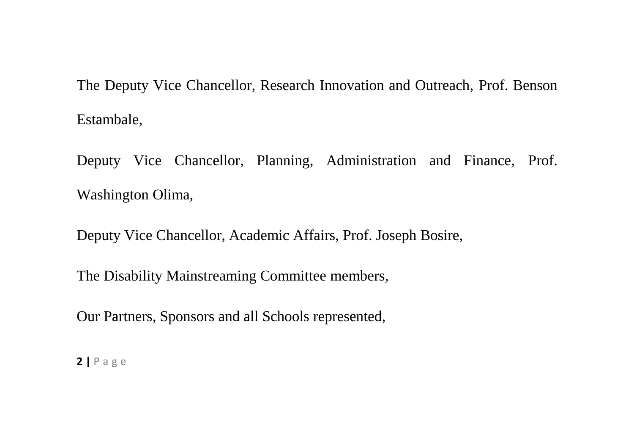The Deputy Vice Chancellor, Research Innovation and Outreach, Prof. Benson Estambale,

Deputy Vice Chancellor, Planning, Administration and Finance, Prof. Washington Olima,

Deputy Vice Chancellor, Academic Affairs, Prof. Joseph Bosire,

The Disability Mainstreaming Committee members,

Our Partners, Sponsors and all Schools represented,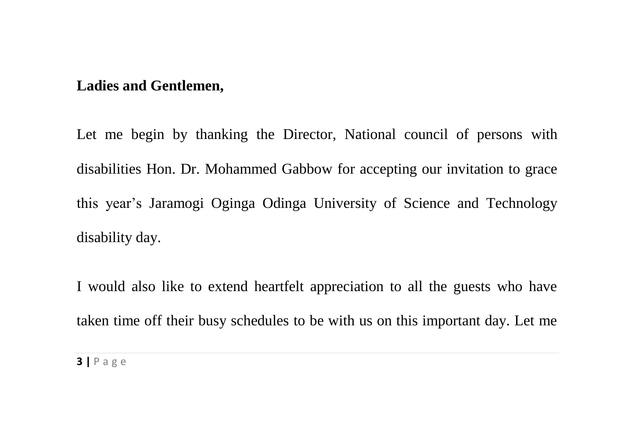#### **Ladies and Gentlemen,**

Let me begin by thanking the Director, National council of persons with disabilities Hon. Dr. Mohammed Gabbow for accepting our invitation to grace this year's Jaramogi Oginga Odinga University of Science and Technology disability day.

I would also like to extend heartfelt appreciation to all the guests who have taken time off their busy schedules to be with us on this important day. Let me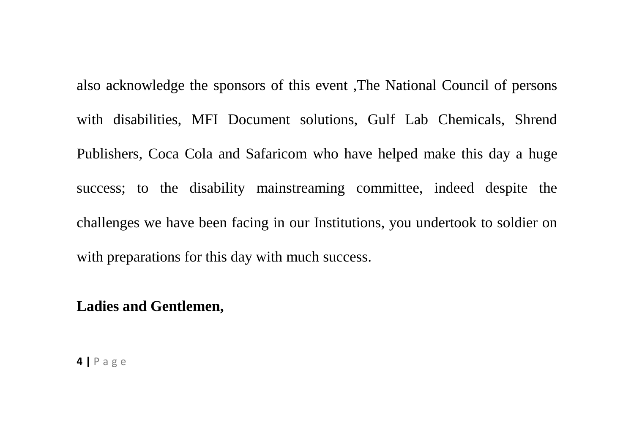also acknowledge the sponsors of this event ,The National Council of persons with disabilities, MFI Document solutions, Gulf Lab Chemicals, Shrend Publishers, Coca Cola and Safaricom who have helped make this day a huge success; to the disability mainstreaming committee, indeed despite the challenges we have been facing in our Institutions, you undertook to soldier on with preparations for this day with much success.

### **Ladies and Gentlemen,**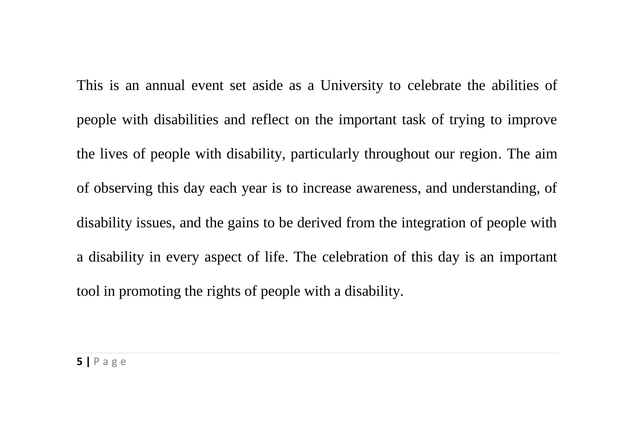This is an annual event set aside as a University to celebrate the abilities of people with disabilities and reflect on the important task of trying to improve the lives of people with disability, particularly throughout our region. The aim of observing this day each year is to increase awareness, and understanding, of disability issues, and the gains to be derived from the integration of people with a disability in every aspect of life. The celebration of this day is an important tool in promoting the rights of people with a disability.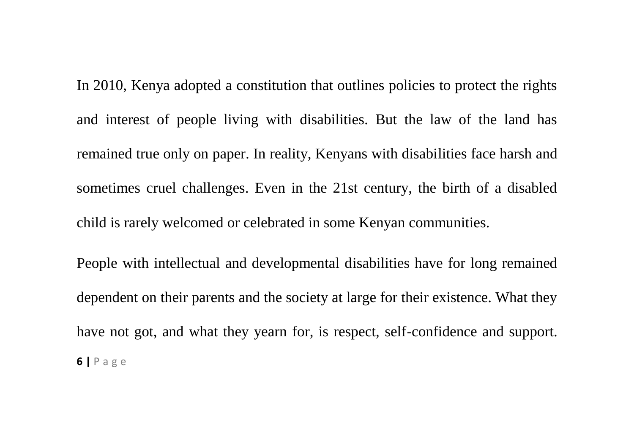In 2010, Kenya adopted a constitution that outlines policies to protect the rights and interest of people living with disabilities. But the law of the land has remained true only on paper. In reality, Kenyans with disabilities face harsh and sometimes cruel challenges. Even in the 21st century, the birth of a disabled child is rarely welcomed or celebrated in some Kenyan communities.

People with intellectual and developmental disabilities have for long remained dependent on their parents and the society at large for their existence. What they have not got, and what they yearn for, is respect, self-confidence and support.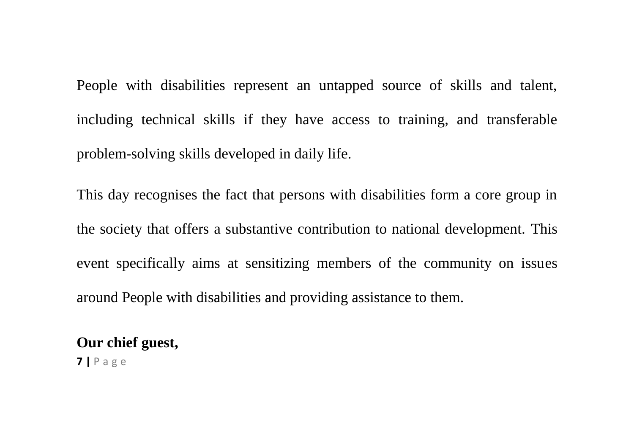People with disabilities represent an untapped source of skills and talent, including technical skills if they have access to training, and transferable problem-solving skills developed in daily life.

This day recognises the fact that persons with disabilities form a core group in the society that offers a substantive contribution to national development. This event specifically aims at sensitizing members of the community on issues around People with disabilities and providing assistance to them.

## **Our chief guest,**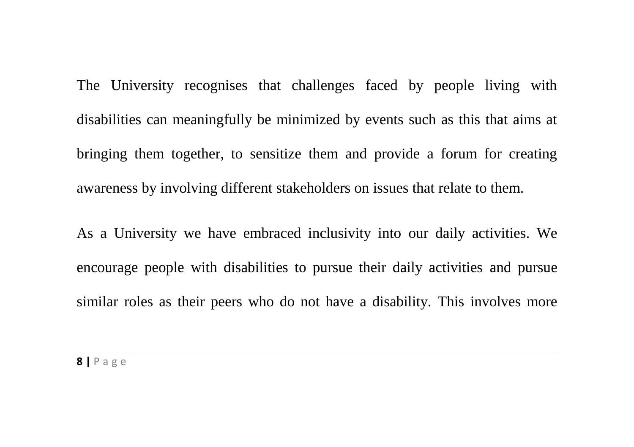The University recognises that challenges faced by people living with disabilities can meaningfully be minimized by events such as this that aims at bringing them together, to sensitize them and provide a forum for creating awareness by involving different stakeholders on issues that relate to them.

As a University we have embraced inclusivity into our daily activities. We encourage people with disabilities to pursue their daily activities and pursue similar roles as their peers who do not have a disability*.* This involves more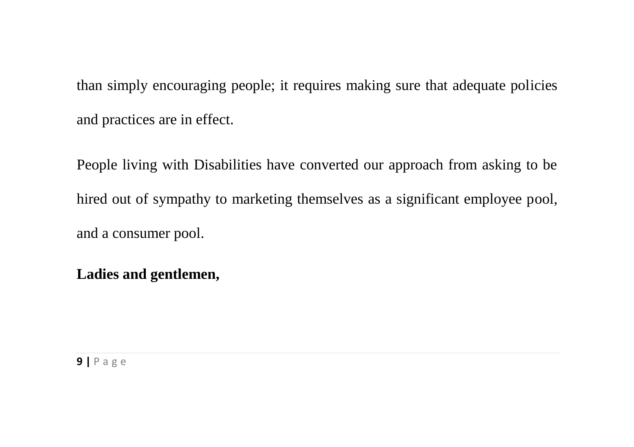than simply encouraging people; it requires making sure that adequate policies and practices are in effect.

People living with Disabilities have converted our approach from asking to be hired out of sympathy to marketing themselves as a significant employee pool, and a consumer pool.

## **Ladies and gentlemen,**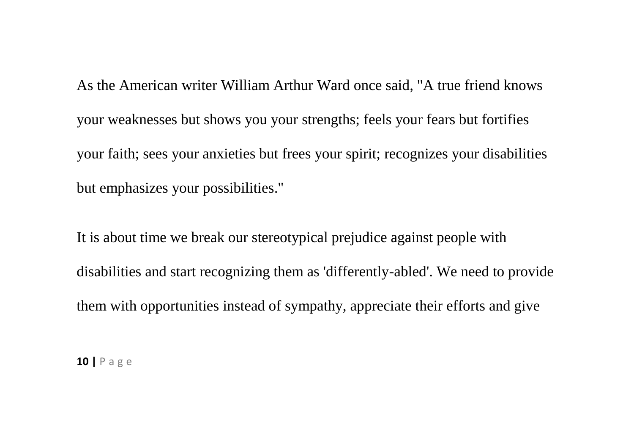As the American writer William Arthur Ward once said, "A true friend knows your weaknesses but shows you your strengths; feels your fears but fortifies your faith; sees your anxieties but frees your spirit; recognizes your disabilities but emphasizes your possibilities."

It is about time we break our stereotypical prejudice against people with disabilities and start recognizing them as 'differently-abled'. We need to provide them with opportunities instead of sympathy, appreciate their efforts and give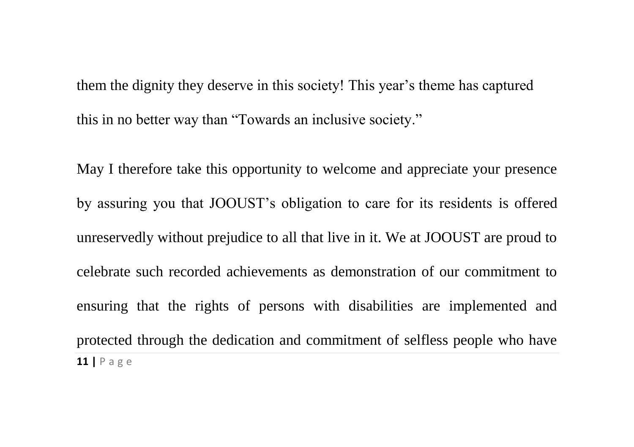them the dignity they deserve in this society! This year's theme has captured this in no better way than "Towards an inclusive society."

**11 |** P a g e May I therefore take this opportunity to welcome and appreciate your presence by assuring you that JOOUST's obligation to care for its residents is offered unreservedly without prejudice to all that live in it. We at JOOUST are proud to celebrate such recorded achievements as demonstration of our commitment to ensuring that the rights of persons with disabilities are implemented and protected through the dedication and commitment of selfless people who have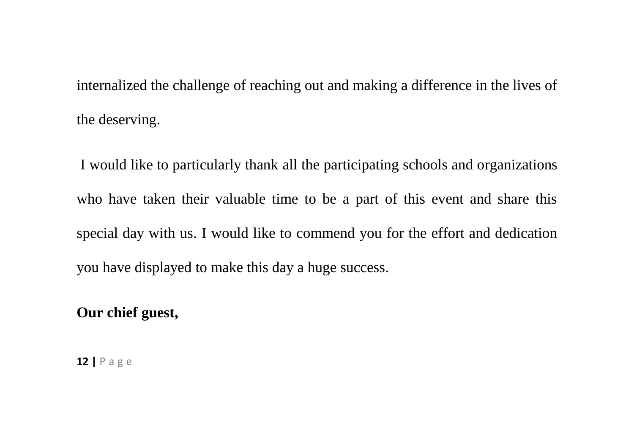internalized the challenge of reaching out and making a difference in the lives of the deserving.

I would like to particularly thank all the participating schools and organizations who have taken their valuable time to be a part of this event and share this special day with us. I would like to commend you for the effort and dedication you have displayed to make this day a huge success.

**Our chief guest,**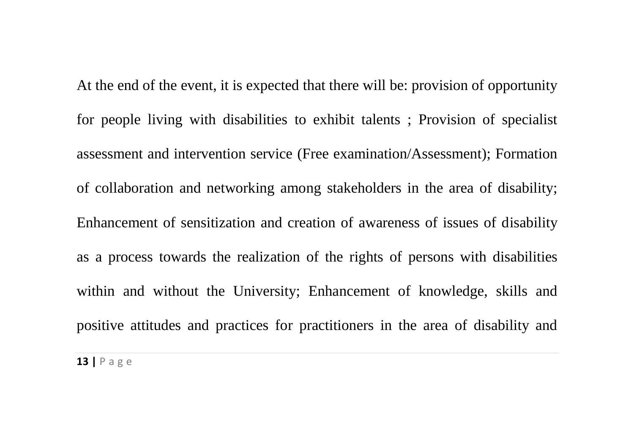At the end of the event, it is expected that there will be: provision of opportunity for people living with disabilities to exhibit talents ; Provision of specialist assessment and intervention service (Free examination/Assessment); Formation of collaboration and networking among stakeholders in the area of disability; Enhancement of sensitization and creation of awareness of issues of disability as a process towards the realization of the rights of persons with disabilities within and without the University; Enhancement of knowledge, skills and positive attitudes and practices for practitioners in the area of disability and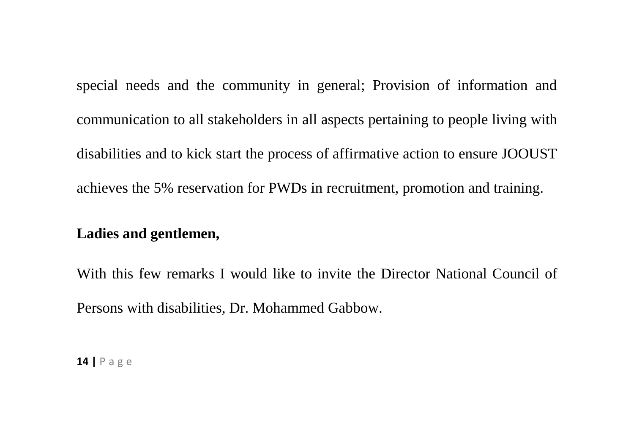special needs and the community in general; Provision of information and communication to all stakeholders in all aspects pertaining to people living with disabilities and to kick start the process of affirmative action to ensure JOOUST achieves the 5% reservation for PWDs in recruitment, promotion and training.

#### **Ladies and gentlemen,**

With this few remarks I would like to invite the Director National Council of Persons with disabilities, Dr. Mohammed Gabbow.